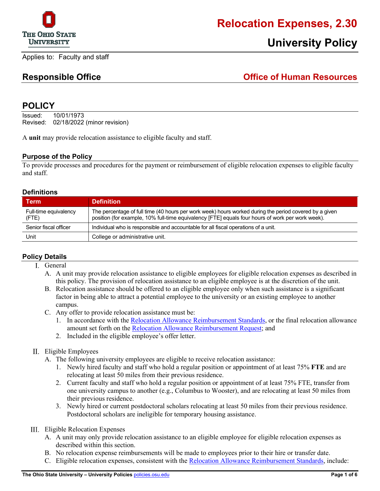

**Relocation Expenses, 2.30**

# **University Policy**

Applies to: Faculty and staff

# **Responsible Office Office of Human Resources**

## **POLICY**

Issued: 10/01/1973 Revised: 02/18/2022 (minor revision)

A **unit** may provide relocation assistance to eligible faculty and staff.

#### **Purpose of the Policy**

To provide processes and procedures for the payment or reimbursement of eligible relocation expenses to eligible faculty and staff.

#### **Definitions**

| Term                           | <b>Definition</b>                                                                                                                                                                                          |
|--------------------------------|------------------------------------------------------------------------------------------------------------------------------------------------------------------------------------------------------------|
| Full-time equivalency<br>(FTE) | The percentage of full time (40 hours per work week) hours worked during the period covered by a given<br>position (for example, 10% full-time equivalency [FTE] equals four hours of work per work week). |
| Senior fiscal officer          | Individual who is responsible and accountable for all fiscal operations of a unit.                                                                                                                         |
| Unit                           | College or administrative unit.                                                                                                                                                                            |

#### **Policy Details**

- I. General
	- A. A unit may provide relocation assistance to eligible employees for eligible relocation expenses as described in this policy. The provision of relocation assistance to an eligible employee is at the discretion of the unit.
	- B. Relocation assistance should be offered to an eligible employee only when such assistance is a significant factor in being able to attract a potential employee to the university or an existing employee to another campus.
	- C. Any offer to provide relocation assistance must be:
		- 1. In accordance with the [Relocation Allowance Reimbursement Standards,](https://hr.osu.edu/wp-content/uploads/relocation-standards.pdf) or the final relocation allowance amount set forth on the [Relocation Allowance Reimbursement Request;](https://hr.osu.edu/wp-content/uploads/relocation-request-form.pdf) and
		- 2. Included in the eligible employee's offer letter.
- Eligible Employees
	- A. The following university employees are eligible to receive relocation assistance:
		- 1. Newly hired faculty and staff who hold a regular position or appointment of at least 75% **FTE** and are relocating at least 50 miles from their previous residence.
		- 2. Current faculty and staff who hold a regular position or appointment of at least 75% FTE, transfer from one university campus to another (e.g., Columbus to Wooster), and are relocating at least 50 miles from their previous residence.
		- 3. Newly hired or current postdoctoral scholars relocating at least 50 miles from their previous residence. Postdoctoral scholars are ineligible for temporary housing assistance.
- III. Eligible Relocation Expenses
	- A. A unit may only provide relocation assistance to an eligible employee for eligible relocation expenses as described within this section.
	- B. No relocation expense reimbursements will be made to employees prior to their hire or transfer date.
	- C. Eligible relocation expenses, consistent with the [Relocation Allowance Reimbursement Standards,](https://hr.osu.edu/wp-content/uploads/relocation-standards.pdf) include: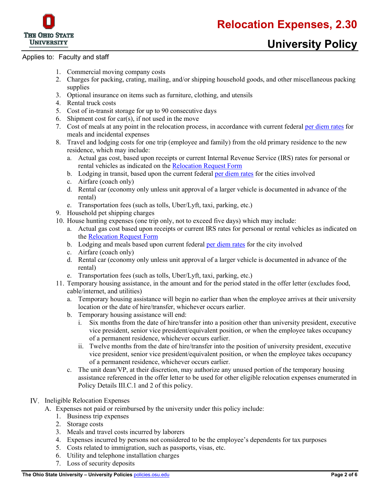

#### Applies to: Faculty and staff

- 1. Commercial moving company costs
- 2. Charges for packing, crating, mailing, and/or shipping household goods, and other miscellaneous packing supplies
- 3. Optional insurance on items such as furniture, clothing, and utensils
- 4. Rental truck costs
- 5. Cost of in-transit storage for up to 90 consecutive days
- 6. Shipment cost for car(s), if not used in the move
- 7. Cost of meals at any point in the relocation process, in accordance with current federal [per diem rates](https://www.gsa.gov/travel/plan-book/per-diem-rates) for meals and incidental expenses
- 8. Travel and lodging costs for one trip (employee and family) from the old primary residence to the new residence, which may include:
	- a. Actual gas cost, based upon receipts or current Internal Revenue Service (IRS) rates for personal or rental vehicles as indicated on the [Relocation Request Form](https://busfin.osu.edu/sites/default/files/relocreq.pdf)
	- b. Lodging in transit, based upon the current federal [per diem rates](https://www.gsa.gov/travel/plan-book/per-diem-rates) for the cities involved
	- c. Airfare (coach only)
	- d. Rental car (economy only unless unit approval of a larger vehicle is documented in advance of the rental)
	- e. Transportation fees (such as tolls, Uber/Lyft, taxi, parking, etc.)
- 9. Household pet shipping charges
- 10. House hunting expenses (one trip only, not to exceed five days) which may include:
	- a. Actual gas cost based upon receipts or current IRS rates for personal or rental vehicles as indicated on the [Relocation Request Form](https://busfin.osu.edu/sites/default/files/relocreq.pdf)
	- b. Lodging and meals based upon current federal [per diem rates](https://www.gsa.gov/travel/plan-book/per-diem-rates) for the city involved
	- c. Airfare (coach only)
	- d. Rental car (economy only unless unit approval of a larger vehicle is documented in advance of the rental)
	- e. Transportation fees (such as tolls, Uber/Lyft, taxi, parking, etc.)
- 11. Temporary housing assistance, in the amount and for the period stated in the offer letter (excludes food, cable/internet, and utilities)
	- a. Temporary housing assistance will begin no earlier than when the employee arrives at their university location or the date of hire/transfer, whichever occurs earlier.
	- b. Temporary housing assistance will end:
		- i. Six months from the date of hire/transfer into a position other than university president, executive vice president, senior vice president/equivalent position, or when the employee takes occupancy of a permanent residence, whichever occurs earlier.
		- ii. Twelve months from the date of hire/transfer into the position of university president, executive vice president, senior vice president/equivalent position, or when the employee takes occupancy of a permanent residence, whichever occurs earlier.
	- c. The unit dean/VP, at their discretion, may authorize any unused portion of the temporary housing assistance referenced in the offer letter to be used for other eligible relocation expenses enumerated in Policy Details III.C.1 and 2 of this policy.

### IV. Ineligible Relocation Expenses

- A. Expenses not paid or reimbursed by the university under this policy include:
	- 1. Business trip expenses
	- 2. Storage costs
	- 3. Meals and travel costs incurred by laborers
	- 4. Expenses incurred by persons not considered to be the employee's dependents for tax purposes
	- 5. Costs related to immigration, such as passports, visas, etc.
	- 6. Utility and telephone installation charges
	- 7. Loss of security deposits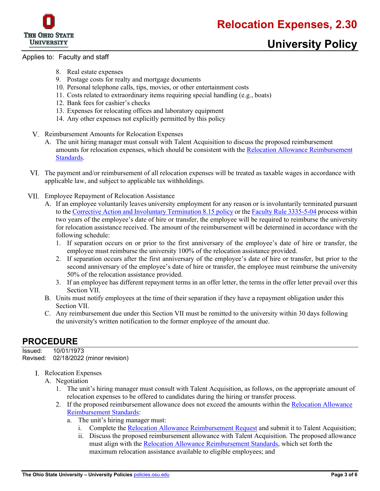

# **University Policy**

#### Applies to: Faculty and staff

- 8. Real estate expenses
- 9. Postage costs for realty and mortgage documents
- 10. Personal telephone calls, tips, movies, or other entertainment costs
- 11. Costs related to extraordinary items requiring special handling (e.g., boats)
- 12. Bank fees for cashier's checks
- 13. Expenses for relocating offices and laboratory equipment
- 14. Any other expenses not explicitly permitted by this policy
- Reimbursement Amounts for Relocation Expenses
	- A. The unit hiring manager must consult with Talent Acquisition to discuss the proposed reimbursement amounts for relocation expenses, which should be consistent with the Relocation Allowance Reimbursement [Standards.](https://hr.osu.edu/wp-content/uploads/relocation-standards.pdf)
- The payment and/or reimbursement of all relocation expenses will be treated as taxable wages in accordance with applicable law, and subject to applicable tax withholdings.
- Employee Repayment of Relocation Assistance
	- A. If an employee voluntarily leaves university employment for any reason or is involuntarily terminated pursuant to the [Corrective Action and Involuntary Termination 8.15 policy](https://hr.osu.edu/wp-content/uploads/policy815.pdf) or th[e Faculty Rule 3335-5-04](https://trustees.osu.edu/bylaws-and-rules/3335-5) process within two years of the employee's date of hire or transfer, the employee will be required to reimburse the university for relocation assistance received. The amount of the reimbursement will be determined in accordance with the following schedule:
		- 1. If separation occurs on or prior to the first anniversary of the employee's date of hire or transfer, the employee must reimburse the university 100% of the relocation assistance provided.
		- 2. If separation occurs after the first anniversary of the employee's date of hire or transfer, but prior to the second anniversary of the employee's date of hire or transfer, the employee must reimburse the university 50% of the relocation assistance provided.
		- 3. If an employee has different repayment terms in an offer letter, the terms in the offer letter prevail over this Section VII.
	- B. Units must notify employees at the time of their separation if they have a repayment obligation under this Section VII.
	- C. Any reimbursement due under this Section VII must be remitted to the university within 30 days following the university's written notification to the former employee of the amount due.

### **PROCEDURE**

Issued: 10/01/1973 Revised: 02/18/2022 (minor revision)

- I. Relocation Expenses
	- A. Negotiation
		- 1. The unit's hiring manager must consult with Talent Acquisition, as follows, on the appropriate amount of relocation expenses to be offered to candidates during the hiring or transfer process.
		- 2. If the proposed reimbursement allowance does not exceed the amounts within th[e Relocation Allowance](https://hr.osu.edu/wp-content/uploads/relocation-standards.pdf)  [Reimbursement Standards:](https://hr.osu.edu/wp-content/uploads/relocation-standards.pdf)
			- a. The unit's hiring manager must:
				- i. Complete th[e Relocation Allowance Reimbursement Request](https://hr.osu.edu/wp-content/uploads/relocation-request-form.pdf) and submit it to Talent Acquisition;
				- ii. Discuss the proposed reimbursement allowance with Talent Acquisition. The proposed allowance must align with the [Relocation Allowance Reimbursement Standards,](https://hr.osu.edu/wp-content/uploads/relocation-standards.pdf) which set forth the maximum relocation assistance available to eligible employees; and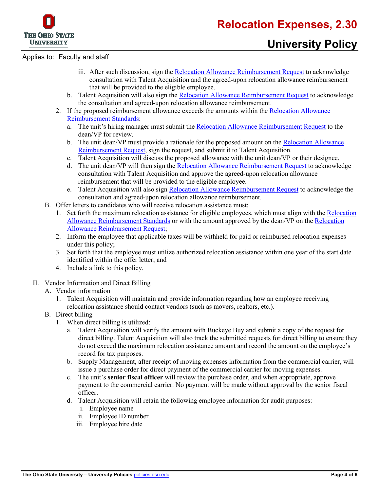

#### Applies to: Faculty and staff

- iii. After such discussion, sign the [Relocation Allowance Reimbursement Request](https://hr.osu.edu/wp-content/uploads/relocation-request-form.pdf) to acknowledge consultation with Talent Acquisition and the agreed-upon relocation allowance reimbursement that will be provided to the eligible employee.
- b. Talent Acquisition will also sign the [Relocation Allowance Reimbursement Request](https://hr.osu.edu/wp-content/uploads/relocation-request-form.pdf) to acknowledge the consultation and agreed-upon relocation allowance reimbursement.
- 2. If the proposed reimbursement allowance exceeds the amounts within the [Relocation Allowance](https://hr.osu.edu/wp-content/uploads/relocation-standards.pdf)  [Reimbursement Standards:](https://hr.osu.edu/wp-content/uploads/relocation-standards.pdf)
	- a. The unit's hiring manager must submit the [Relocation Allowance Reimbursement Request](https://hr.osu.edu/wp-content/uploads/relocation-request-form.pdf) to the dean/VP for review.
	- b. The unit dean/VP must provide a rationale for the proposed amount on the [Relocation Allowance](https://hr.osu.edu/wp-content/uploads/relocation-request-form.pdf)  [Reimbursement Request,](https://hr.osu.edu/wp-content/uploads/relocation-request-form.pdf) sign the request, and submit it to Talent Acquisition.
	- c. Talent Acquisition will discuss the proposed allowance with the unit dean/VP or their designee.
	- d. The unit dean/VP will then sign the [Relocation Allowance Reimbursement Request](https://hr.osu.edu/wp-content/uploads/relocation-request-form.pdf) to acknowledge consultation with Talent Acquisition and approve the agreed-upon relocation allowance reimbursement that will be provided to the eligible employee.
	- e. Talent Acquisition will also sign [Relocation Allowance Reimbursement Request](https://hr.osu.edu/wp-content/uploads/relocation-request-form.pdf) to acknowledge the consultation and agreed-upon relocation allowance reimbursement.
- B. Offer letters to candidates who will receive relocation assistance must:
	- 1. Set forth the maximum relocation assistance for eligible employees, which must align with the [Relocation](https://hr.osu.edu/wp-content/uploads/relocation-standards.pdf)  Allowance [Reimbursement Standards](https://hr.osu.edu/wp-content/uploads/relocation-standards.pdf) or with the amount approved by the dean/VP on the [Relocation](https://hr.osu.edu/wp-content/uploads/relocation-request-form.pdf)  [Allowance Reimbursement Request;](https://hr.osu.edu/wp-content/uploads/relocation-request-form.pdf)
	- 2. Inform the employee that applicable taxes will be withheld for paid or reimbursed relocation expenses under this policy;
	- 3. Set forth that the employee must utilize authorized relocation assistance within one year of the start date identified within the offer letter; and
	- 4. Include a link to this policy.
- II. Vendor Information and Direct Billing
	- A. Vendor information
		- 1. Talent Acquisition will maintain and provide information regarding how an employee receiving relocation assistance should contact vendors (such as movers, realtors, etc.).
	- B. Direct billing
		- 1. When direct billing is utilized:
			- a. Talent Acquisition will verify the amount with Buckeye Buy and submit a copy of the request for direct billing. Talent Acquisition will also track the submitted requests for direct billing to ensure they do not exceed the maximum relocation assistance amount and record the amount on the employee's record for tax purposes.
			- b. Supply Management, after receipt of moving expenses information from the commercial carrier, will issue a purchase order for direct payment of the commercial carrier for moving expenses.
			- c. The unit's **senior fiscal officer** will review the purchase order, and when appropriate, approve payment to the commercial carrier. No payment will be made without approval by the senior fiscal officer.
			- d. Talent Acquisition will retain the following employee information for audit purposes:
				- i. Employee name
				- ii. Employee ID number
				- iii. Employee hire date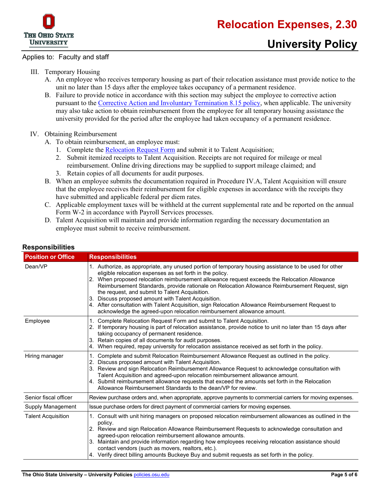

#### Applies to: Faculty and staff

- III. Temporary Housing
	- A. An employee who receives temporary housing as part of their relocation assistance must provide notice to the unit no later than 15 days after the employee takes occupancy of a permanent residence.
	- B. Failure to provide notice in accordance with this section may subject the employee to corrective action pursuant to the [Corrective Action and Involuntary Termination 8.15 policy,](https://hr.osu.edu/wp-content/uploads/policy815.pdf) when applicable. The university may also take action to obtain reimbursement from the employee for all temporary housing assistance the university provided for the period after the employee had taken occupancy of a permanent residence.

#### IV. Obtaining Reimbursement

- A. To obtain reimbursement, an employee must:
	- 1. Complete th[e Relocation Request Form](https://busfin.osu.edu/sites/default/files/relocreq.pdf) and submit it to Talent Acquisition;
	- 2. Submit itemized receipts to Talent Acquisition. Receipts are not required for mileage or meal reimbursement. Online driving directions may be supplied to support mileage claimed; and
	- Retain copies of all documents for audit purposes.
- B. When an employee submits the documentation required in Procedure IV.A, Talent Acquisition will ensure that the employee receives their reimbursement for eligible expenses in accordance with the receipts they have submitted and applicable federal per diem rates.
- C. Applicable employment taxes will be withheld at the current supplemental rate and be reported on the annual Form W-2 in accordance with Payroll Services processes.
- D. Talent Acquisition will maintain and provide information regarding the necessary documentation an employee must submit to receive reimbursement.

| neshnimmes<br><b>Position or Office</b> | <b>Responsibilities</b>                                                                                                                                                                                                                                                                                                                                                                                                                                                                                                                                                                                                                                        |  |
|-----------------------------------------|----------------------------------------------------------------------------------------------------------------------------------------------------------------------------------------------------------------------------------------------------------------------------------------------------------------------------------------------------------------------------------------------------------------------------------------------------------------------------------------------------------------------------------------------------------------------------------------------------------------------------------------------------------------|--|
|                                         |                                                                                                                                                                                                                                                                                                                                                                                                                                                                                                                                                                                                                                                                |  |
| Dean/VP                                 | 1. Authorize, as appropriate, any unused portion of temporary housing assistance to be used for other<br>eligible relocation expenses as set forth in the policy.<br>When proposed relocation reimbursement allowance request exceeds the Relocation Allowance<br>2.<br>Reimbursement Standards, provide rationale on Relocation Allowance Reimbursement Request, sign<br>the request, and submit to Talent Acquisition.<br>3. Discuss proposed amount with Talent Acquisition.<br>4. After consultation with Talent Acquisition, sign Relocation Allowance Reimbursement Request to<br>acknowledge the agreed-upon relocation reimbursement allowance amount. |  |
| Employee                                | Complete Relocation Request Form and submit to Talent Acquisition.<br>1.<br>2. If temporary housing is part of relocation assistance, provide notice to unit no later than 15 days after<br>taking occupancy of permanent residence.<br>3. Retain copies of all documents for audit purposes.<br>When required, repay university for relocation assistance received as set forth in the policy.<br>4.                                                                                                                                                                                                                                                          |  |
| Hiring manager                          | 1. Complete and submit Relocation Reimbursement Allowance Request as outlined in the policy.<br>2. Discuss proposed amount with Talent Acquisition.<br>3. Review and sign Relocation Reimbursement Allowance Request to acknowledge consultation with<br>Talent Acquisition and agreed-upon relocation reimbursement allowance amount.<br>4. Submit reimbursement allowance requests that exceed the amounts set forth in the Relocation<br>Allowance Reimbursement Standards to the dean/VP for review.                                                                                                                                                       |  |
| Senior fiscal officer                   | Review purchase orders and, when appropriate, approve payments to commercial carriers for moving expenses.                                                                                                                                                                                                                                                                                                                                                                                                                                                                                                                                                     |  |
| Supply Management                       | Issue purchase orders for direct payment of commercial carriers for moving expenses.                                                                                                                                                                                                                                                                                                                                                                                                                                                                                                                                                                           |  |
| <b>Talent Acquisition</b>               | 1. Consult with unit hiring managers on proposed relocation reimbursement allowances as outlined in the<br>policy.<br>2. Review and sign Relocation Allowance Reimbursement Requests to acknowledge consultation and<br>agreed-upon relocation reimbursement allowance amounts.<br>3. Maintain and provide information regarding how employees receiving relocation assistance should<br>contact vendors (such as movers, realtors, etc.).<br>4. Verify direct billing amounts Buckeye Buy and submit requests as set forth in the policy.                                                                                                                     |  |

### **Responsibilities**